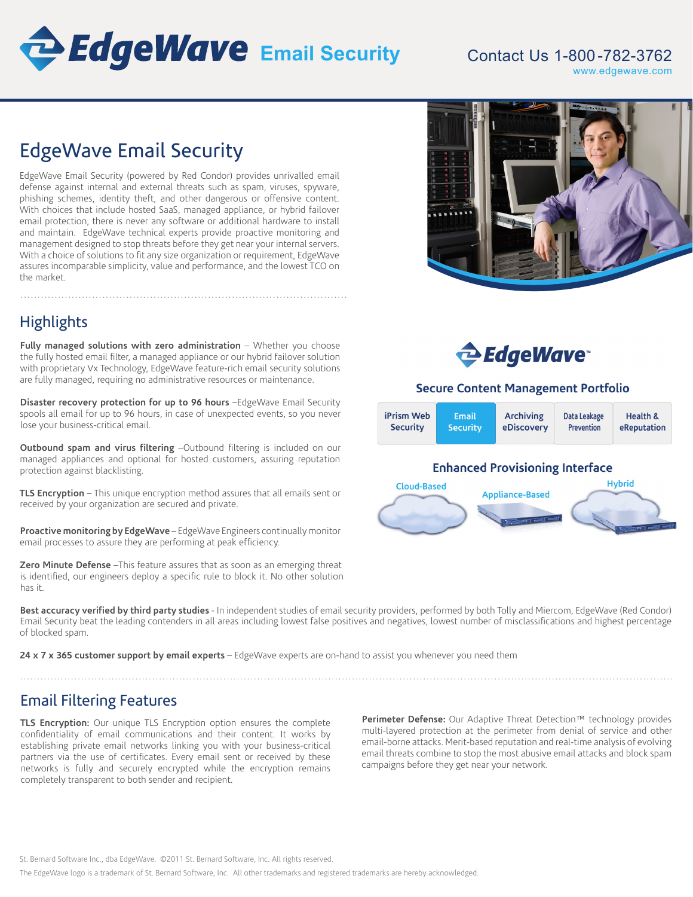

### Contact Us 1-800 -782-3762 www.edgewave.com

# EdgeWave Email Security

EdgeWave Email Security (powered by Red Condor) provides unrivalled email defense against internal and external threats such as spam, viruses, spyware, phishing schemes, identity theft, and other dangerous or offensive content. With choices that include hosted SaaS, managed appliance, or hybrid failover email protection, there is never any software or additional hardware to install and maintain. EdgeWave technical experts provide proactive monitoring and management designed to stop threats before they get near your internal servers. With a choice of solutions to fit any size organization or requirement, EdgeWave assures incomparable simplicity, value and performance, and the lowest TCO on the market.



## **Highlights**

**Fully managed solutions with zero administration** – Whether you choose the fully hosted email filter, a managed appliance or our hybrid failover solution with proprietary Vx Technology, EdgeWave feature-rich email security solutions are fully managed, requiring no administrative resources or maintenance.

**Disaster recovery protection for up to 96 hours** –EdgeWave Email Security spools all email for up to 96 hours, in case of unexpected events, so you never lose your business-critical email.

**Outbound spam and virus filtering** –Outbound filtering is included on our managed appliances and optional for hosted customers, assuring reputation protection against blacklisting.

**TLS Encryption** – This unique encryption method assures that all emails sent or received by your organization are secured and private.

**Proactive monitoring by EdgeWave** – EdgeWave Engineers continually monitor email processes to assure they are performing at peak efficiency.

**Zero Minute Defense** –This feature assures that as soon as an emerging threat is identified, our engineers deploy a specific rule to block it. No other solution has it.



### **Secure Content Management Portfolio**



**Best accuracy verified by third party studies** - In independent studies of email security providers, performed by both Tolly and Miercom, EdgeWave (Red Condor) Email Security beat the leading contenders in all areas including lowest false positives and negatives, lowest number of misclassifications and highest percentage of blocked spam.

**24 x 7 x 365 customer support by email experts** – EdgeWave experts are on-hand to assist you whenever you need them

Email Filtering Features

**TLS Encryption:** Our unique TLS Encryption option ensures the complete confidentiality of email communications and their content. It works by establishing private email networks linking you with your business-critical partners via the use of certificates. Every email sent or received by these networks is fully and securely encrypted while the encryption remains completely transparent to both sender and recipient.

**Perimeter Defense:** Our Adaptive Threat Detection™ technology provides multi-layered protection at the perimeter from denial of service and other email-borne attacks. Merit-based reputation and real-time analysis of evolving email threats combine to stop the most abusive email attacks and block spam campaigns before they get near your network.